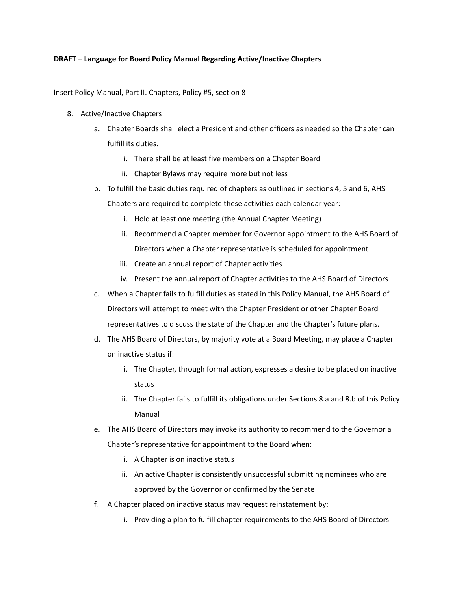## **DRAFT – Language for Board Policy Manual Regarding Active/Inactive Chapters**

Insert Policy Manual, Part II. Chapters, Policy #5, section 8

- 8. Active/Inactive Chapters
	- a. Chapter Boards shall elect a President and other officers as needed so the Chapter can fulfill its duties.
		- i. There shall be at least five members on a Chapter Board
		- ii. Chapter Bylaws may require more but not less
	- b. To fulfill the basic duties required of chapters as outlined in sections 4, 5 and 6, AHS Chapters are required to complete these activities each calendar year:
		- i. Hold at least one meeting (the Annual Chapter Meeting)
		- ii. Recommend a Chapter member for Governor appointment to the AHS Board of Directors when a Chapter representative is scheduled for appointment
		- iii. Create an annual report of Chapter activities
		- iv. Present the annual report of Chapter activities to the AHS Board of Directors
	- c. When a Chapter fails to fulfill duties as stated in this Policy Manual, the AHS Board of Directors will attempt to meet with the Chapter President or other Chapter Board representatives to discuss the state of the Chapter and the Chapter's future plans.
	- d. The AHS Board of Directors, by majority vote at a Board Meeting, may place a Chapter on inactive status if:
		- i. The Chapter, through formal action, expresses a desire to be placed on inactive status
		- ii. The Chapter fails to fulfill its obligations under Sections 8.a and 8.b of this Policy Manual
	- e. The AHS Board of Directors may invoke its authority to recommend to the Governor a Chapter's representative for appointment to the Board when:
		- i. A Chapter is on inactive status
		- ii. An active Chapter is consistently unsuccessful submitting nominees who are approved by the Governor or confirmed by the Senate
	- f. A Chapter placed on inactive status may request reinstatement by:
		- i. Providing a plan to fulfill chapter requirements to the AHS Board of Directors